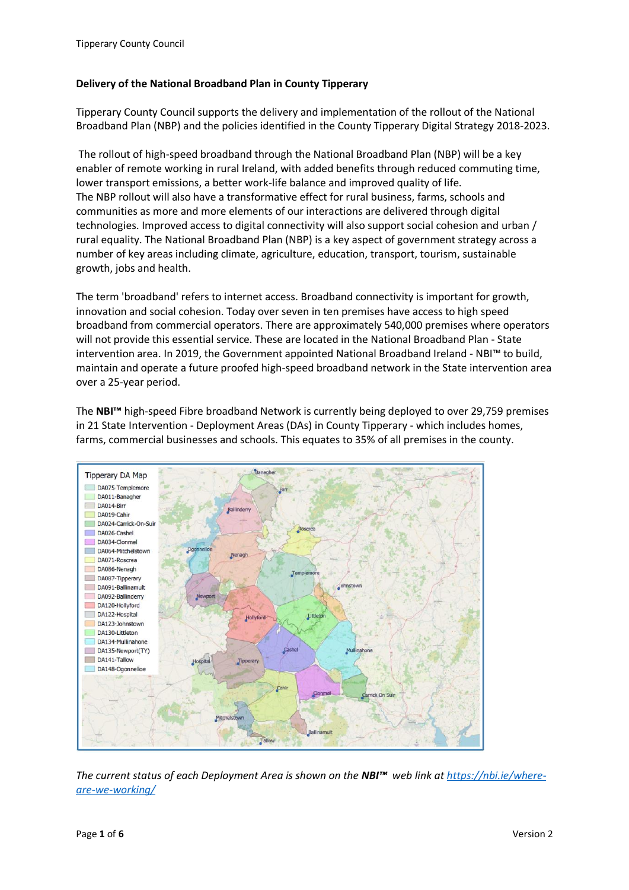#### **Delivery of the National Broadband Plan in County Tipperary**

Tipperary County Council supports the delivery and implementation of the rollout of the National Broadband Plan (NBP) and the policies identified in the County Tipperary Digital Strategy 2018-2023.

The rollout of high-speed broadband through the National Broadband Plan (NBP) will be a key enabler of remote working in rural Ireland, with added benefits through reduced commuting time, lower transport emissions, a better work-life balance and improved quality of life. The NBP rollout will also have a transformative effect for rural business, farms, schools and communities as more and more elements of our interactions are delivered through digital technologies. Improved access to digital connectivity will also support social cohesion and urban / rural equality. The National Broadband Plan (NBP) is a key aspect of government strategy across a number of key areas including climate, agriculture, education, transport, tourism, sustainable growth, jobs and health.

The term 'broadband' refers to internet access. Broadband connectivity is important for growth, innovation and social cohesion. Today over seven in ten premises have access to high speed broadband from commercial operators. There are approximately 540,000 premises where operators will not provide this essential service. These are located in the National Broadband Plan - State intervention area. In 2019, the Government appointed National Broadband Ireland - NBI™ to build, maintain and operate a future proofed high-speed broadband network in the State intervention area over a 25-year period.

The **NBI™** high-speed Fibre broadband Network is currently being deployed to over 29,759 premises in 21 State Intervention - Deployment Areas (DAs) in County Tipperary - which includes homes, farms, commercial businesses and schools. This equates to 35% of all premises in the county.



*The current status of each Deployment Area is shown on the NBI™ web link at [https://nbi.ie/where](https://eur03.safelinks.protection.outlook.com/?url=https%3A%2F%2Fnbi.ie%2Fwhere-are-we-working%2F&data=04%7C01%7Ckatherine.buckley%40vodafone.com%7Cb2d2428ecc2c4f73314908da06781a17%7C68283f3b84874c86adb3a5228f18b893%7C0%7C0%7C637829410208642690%7CUnknown%7CTWFpbGZsb3d8eyJWIjoiMC4wLjAwMDAiLCJQIjoiV2luMzIiLCJBTiI6Ik1haWwiLCJXVCI6Mn0%3D%7C3000&sdata=pVOF%2Bq8%2FB5mKwzRYf9ST8BxlnCA3WlQDvJPCPicYpTU%3D&reserved=0)[are-we-working/](https://eur03.safelinks.protection.outlook.com/?url=https%3A%2F%2Fnbi.ie%2Fwhere-are-we-working%2F&data=04%7C01%7Ckatherine.buckley%40vodafone.com%7Cb2d2428ecc2c4f73314908da06781a17%7C68283f3b84874c86adb3a5228f18b893%7C0%7C0%7C637829410208642690%7CUnknown%7CTWFpbGZsb3d8eyJWIjoiMC4wLjAwMDAiLCJQIjoiV2luMzIiLCJBTiI6Ik1haWwiLCJXVCI6Mn0%3D%7C3000&sdata=pVOF%2Bq8%2FB5mKwzRYf9ST8BxlnCA3WlQDvJPCPicYpTU%3D&reserved=0)*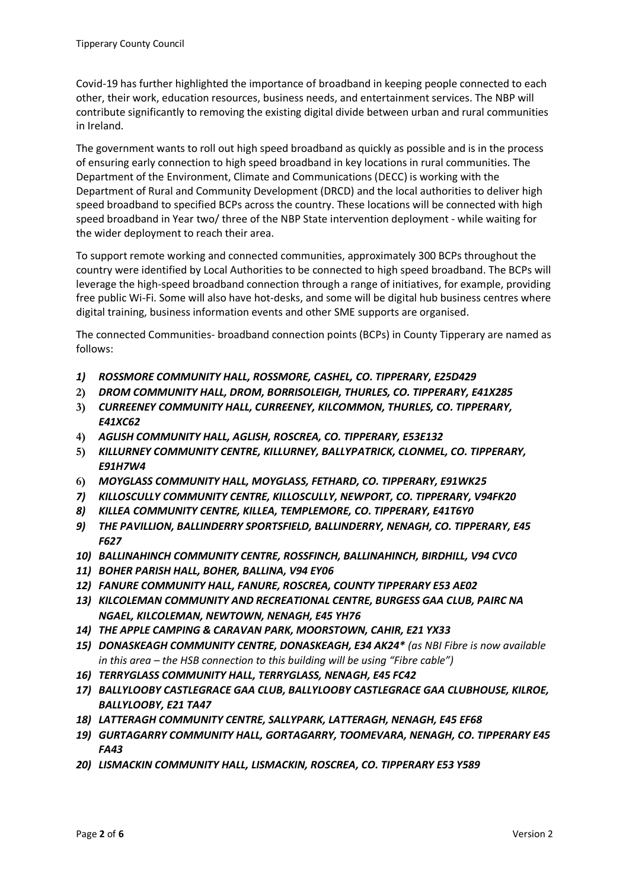Covid-19 has further highlighted the importance of broadband in keeping people connected to each other, their work, education resources, business needs, and entertainment services. The NBP will contribute significantly to removing the existing digital divide between urban and rural communities in Ireland.

The government wants to roll out high speed broadband as quickly as possible and is in the process of ensuring early connection to high speed broadband in key locations in rural communities. The Department of the Environment, Climate and Communications (DECC) is working with the Department of Rural and Community Development (DRCD) and the local authorities to deliver high speed broadband to specified BCPs across the country. These locations will be connected with high speed broadband in Year two/ three of the NBP State intervention deployment - while waiting for the wider deployment to reach their area.

To support remote working and connected communities, approximately 300 BCPs throughout the country were identified by Local Authorities to be connected to high speed broadband. The BCPs will leverage the high-speed broadband connection through a range of initiatives, for example, providing free public Wi-Fi. Some will also have hot-desks, and some will be digital hub business centres where digital training, business information events and other SME supports are organised.

The connected Communities- broadband connection points (BCPs) in County Tipperary are named as follows:

- *1) ROSSMORE COMMUNITY HALL, ROSSMORE, CASHEL, CO. TIPPERARY, E25D429*
- **2)** *DROM COMMUNITY HALL, DROM, BORRISOLEIGH, THURLES, CO. TIPPERARY, E41X285*
- **3)** *CURREENEY COMMUNITY HALL, CURREENEY, KILCOMMON, THURLES, CO. TIPPERARY, E41XC62*
- **4)** *AGLISH COMMUNITY HALL, AGLISH, ROSCREA, CO. TIPPERARY, E53E132*
- **5)** *KILLURNEY COMMUNITY CENTRE, KILLURNEY, BALLYPATRICK, CLONMEL, CO. TIPPERARY, E91H7W4*
- **6)** *MOYGLASS COMMUNITY HALL, MOYGLASS, FETHARD, CO. TIPPERARY, E91WK25*
- *7) KILLOSCULLY COMMUNITY CENTRE, KILLOSCULLY, NEWPORT, CO. TIPPERARY, V94FK20*
- *8) KILLEA COMMUNITY CENTRE, KILLEA, TEMPLEMORE, CO. TIPPERARY, E41T6Y0*
- *9) THE PAVILLION, BALLINDERRY SPORTSFIELD, BALLINDERRY, NENAGH, CO. TIPPERARY, E45 F627*
- *10) BALLINAHINCH COMMUNITY CENTRE, ROSSFINCH, BALLINAHINCH, BIRDHILL, V94 CVC0*
- *11) BOHER PARISH HALL, BOHER, BALLINA, V94 EY06*
- *12) FANURE COMMUNITY HALL, FANURE, ROSCREA, COUNTY TIPPERARY E53 AE02*
- *13) KILCOLEMAN COMMUNITY AND RECREATIONAL CENTRE, BURGESS GAA CLUB, PAIRC NA NGAEL, KILCOLEMAN, NEWTOWN, NENAGH, E45 YH76*
- *14) THE APPLE CAMPING & CARAVAN PARK, MOORSTOWN, CAHIR, E21 YX33*
- *15) DONASKEAGH COMMUNITY CENTRE, DONASKEAGH, E34 AK24\* (as NBI Fibre is now available in this area – the HSB connection to this building will be using "Fibre cable")*
- *16) TERRYGLASS COMMUNITY HALL, TERRYGLASS, NENAGH, E45 FC42*
- *17) BALLYLOOBY CASTLEGRACE GAA CLUB, BALLYLOOBY CASTLEGRACE GAA CLUBHOUSE, KILROE, BALLYLOOBY, E21 TA47*
- *18) LATTERAGH COMMUNITY CENTRE, SALLYPARK, LATTERAGH, NENAGH, E45 EF68*
- *19) GURTAGARRY COMMUNITY HALL, GORTAGARRY, TOOMEVARA, NENAGH, CO. TIPPERARY E45 FA43*
- *20) LISMACKIN COMMUNITY HALL, LISMACKIN, ROSCREA, CO. TIPPERARY E53 Y589*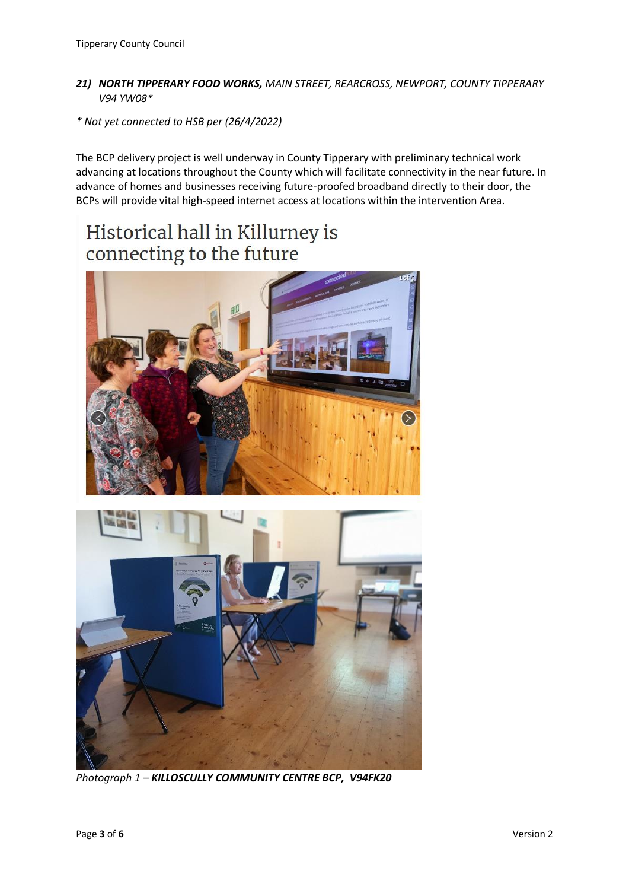#### *21) NORTH TIPPERARY FOOD WORKS, MAIN STREET, REARCROSS, NEWPORT, COUNTY TIPPERARY V94 YW08\**

*\* Not yet connected to HSB per (26/4/2022)* 

The BCP delivery project is well underway in County Tipperary with preliminary technical work advancing at locations throughout the County which will facilitate connectivity in the near future. In advance of homes and businesses receiving future-proofed broadband directly to their door, the BCPs will provide vital high-speed internet access at locations within the intervention Area.

# Historical hall in Killurney is connecting to the future





*Photograph 1 – KILLOSCULLY COMMUNITY CENTRE BCP, V94FK20*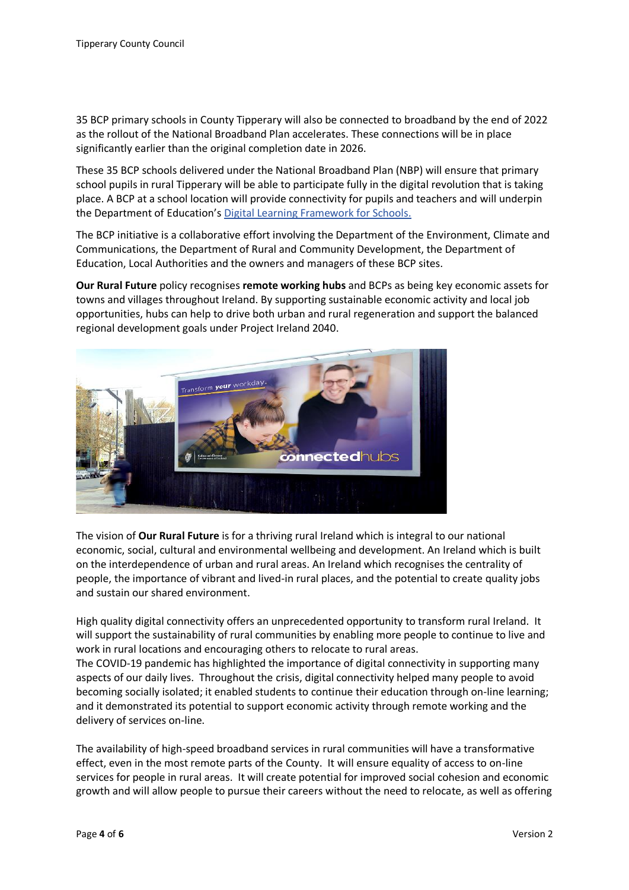35 BCP primary schools in County Tipperary will also be connected to broadband by the end of 2022 as the rollout of the National Broadband Plan accelerates. These connections will be in place significantly earlier than the original completion date in 2026.

These 35 BCP schools delivered under the National Broadband Plan (NBP) will ensure that primary school pupils in rural Tipperary will be able to participate fully in the digital revolution that is taking place. A BCP at a school location will provide connectivity for pupils and teachers and will underpin the Department of Education's [Digital Learning Framework for Schools.](https://www.pdsttechnologyineducation.ie/en/Planning/)

The BCP initiative is a collaborative effort involving the Department of the Environment, Climate and Communications, the Department of Rural and Community Development, the Department of Education, Local Authorities and the owners and managers of these BCP sites.

**Our Rural Future** policy recognises **remote working hubs** and BCPs as being key economic assets for towns and villages throughout Ireland. By supporting sustainable economic activity and local job opportunities, hubs can help to drive both urban and rural regeneration and support the balanced regional development goals under Project Ireland 2040.



The vision of **Our Rural Future** is for a thriving rural Ireland which is integral to our national economic, social, cultural and environmental wellbeing and development. An Ireland which is built on the interdependence of urban and rural areas. An Ireland which recognises the centrality of people, the importance of vibrant and lived-in rural places, and the potential to create quality jobs and sustain our shared environment.

High quality digital connectivity offers an unprecedented opportunity to transform rural Ireland. It will support the sustainability of rural communities by enabling more people to continue to live and work in rural locations and encouraging others to relocate to rural areas.

The COVID-19 pandemic has highlighted the importance of digital connectivity in supporting many aspects of our daily lives. Throughout the crisis, digital connectivity helped many people to avoid becoming socially isolated; it enabled students to continue their education through on-line learning; and it demonstrated its potential to support economic activity through remote working and the delivery of services on-line.

The availability of high-speed broadband services in rural communities will have a transformative effect, even in the most remote parts of the County. It will ensure equality of access to on-line services for people in rural areas. It will create potential for improved social cohesion and economic growth and will allow people to pursue their careers without the need to relocate, as well as offering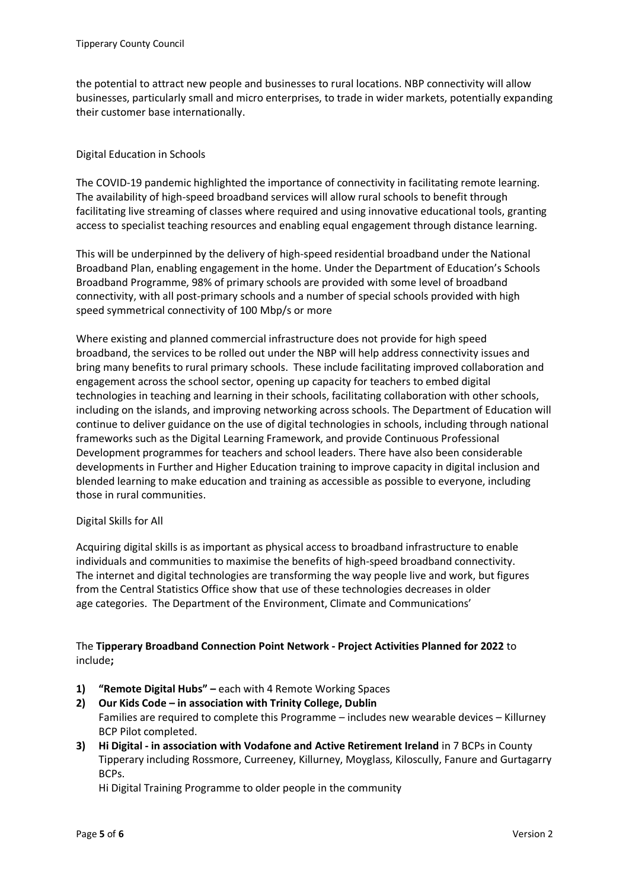the potential to attract new people and businesses to rural locations. NBP connectivity will allow businesses, particularly small and micro enterprises, to trade in wider markets, potentially expanding their customer base internationally.

## Digital Education in Schools

The COVID-19 pandemic highlighted the importance of connectivity in facilitating remote learning. The availability of high-speed broadband services will allow rural schools to benefit through facilitating live streaming of classes where required and using innovative educational tools, granting access to specialist teaching resources and enabling equal engagement through distance learning.

This will be underpinned by the delivery of high-speed residential broadband under the National Broadband Plan, enabling engagement in the home. Under the Department of Education's Schools Broadband Programme, 98% of primary schools are provided with some level of broadband connectivity, with all post-primary schools and a number of special schools provided with high speed symmetrical connectivity of 100 Mbp/s or more

Where existing and planned commercial infrastructure does not provide for high speed broadband, the services to be rolled out under the NBP will help address connectivity issues and bring many benefits to rural primary schools. These include facilitating improved collaboration and engagement across the school sector, opening up capacity for teachers to embed digital technologies in teaching and learning in their schools, facilitating collaboration with other schools, including on the islands, and improving networking across schools. The Department of Education will continue to deliver guidance on the use of digital technologies in schools, including through national frameworks such as the Digital Learning Framework, and provide Continuous Professional Development programmes for teachers and school leaders. There have also been considerable developments in Further and Higher Education training to improve capacity in digital inclusion and blended learning to make education and training as accessible as possible to everyone, including those in rural communities.

## Digital Skills for All

Acquiring digital skills is as important as physical access to broadband infrastructure to enable individuals and communities to maximise the benefits of high-speed broadband connectivity. The internet and digital technologies are transforming the way people live and work, but figures from the Central Statistics Office show that use of these technologies decreases in older age categories. The Department of the Environment, Climate and Communications'

## The **Tipperary Broadband Connection Point Network - Project Activities Planned for 2022** to include**;**

- **1) "Remote Digital Hubs" –** each with 4 Remote Working Spaces
- **2) Our Kids Code – in association with Trinity College, Dublin** Families are required to complete this Programme – includes new wearable devices – Killurney BCP Pilot completed.
- **3) Hi Digital - in association with Vodafone and Active Retirement Ireland** in 7 BCPs in County Tipperary including Rossmore, Curreeney, Killurney, Moyglass, Kiloscully, Fanure and Gurtagarry BCPs.

Hi Digital Training Programme to older people in the community